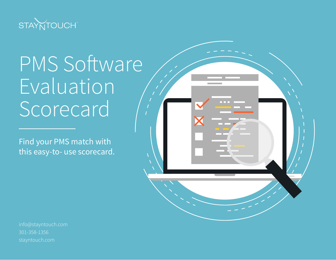

# PMS Software Evaluation **Scorecard**

Find your PMS match with this easy-to- use scorecard.



301-358-1356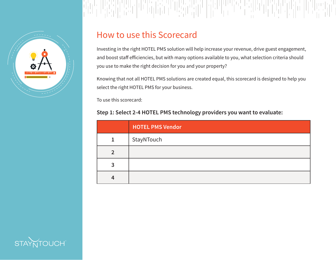

### How to use this Scorecard

Investing in the right HOTEL PMS solution will help increase your revenue, drive guest engagement, and boost staff efficiencies, but with many options available to you, what selection criteria should you use to make the right decision for you and your property?

Knowing that not all HOTEL PMS solutions are created equal, this scorecard is designed to help you select the right HOTEL PMS for your business.

To use this scorecard:

### **Step 1: Select 2-4 HOTEL PMS technology providers you want to evaluate:**

|   | <b>HOTEL PMS Vendor</b> |
|---|-------------------------|
| 1 | StayNTouch              |
|   |                         |
|   |                         |
|   |                         |

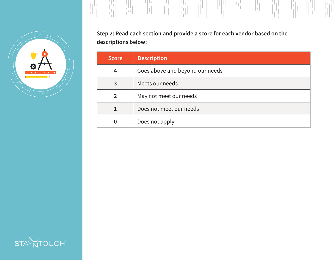

**Step 2: Read each section and provide a score for each vendor based on the descriptions below:**

| <b>Score</b> | <b>Description</b>              |
|--------------|---------------------------------|
| 4            | Goes above and beyond our needs |
| 3            | Meets our needs                 |
|              | May not meet our needs          |
|              | Does not meet our needs         |
|              | Does not apply                  |

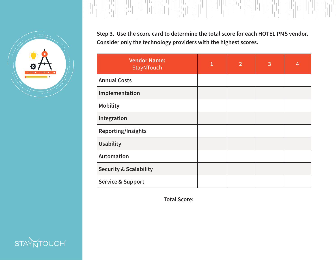

**Step 3. Use the score card to determine the total score for each HOTEL PMS vendor. Consider only the technology providers with the highest scores.**

 $\begin{array}{l} \left[ \begin{array}{c} 1 \\ 1 \end{array} \right] \left[ \begin{array}{c} 1 \\ 1 \end{array} \right] \left[ \begin{array}{c} 1 \\ 1 \end{array} \right] \left[ \begin{array}{c} 1 \\ 1 \end{array} \right] \left[ \begin{array}{c} 1 \\ 1 \end{array} \right] \left[ \begin{array}{c} 1 \\ 1 \end{array} \right] \left[ \begin{array}{c} 1 \\ 1 \end{array} \right] \left[ \begin{array}{c} 1 \\ 1 \end{array} \right] \left[ \begin{array}{c} 1 \\ 1 \end{array} \right] \left[ \begin{$ 

| <b>Vendor Name:</b><br>StayNTouch | $\mathbf{1}$ | $\overline{2}$ | 3 | 4 |
|-----------------------------------|--------------|----------------|---|---|
| <b>Annual Costs</b>               |              |                |   |   |
| Implementation                    |              |                |   |   |
| <b>Mobility</b>                   |              |                |   |   |
| Integration                       |              |                |   |   |
| <b>Reporting/Insights</b>         |              |                |   |   |
| <b>Usability</b>                  |              |                |   |   |
| Automation                        |              |                |   |   |
| <b>Security &amp; Scalability</b> |              |                |   |   |
| <b>Service &amp; Support</b>      |              |                |   |   |

 **Total Score:**

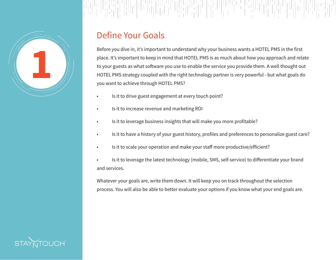

#### - '이 아이가 아이들이 아이가 아이가 아니다'<br>- 이 마리가 아이들이 아이가 아니다. 이 아이들이 아이 MANIA ILI 해방법

### Define Your Goals

Before you dive in, it's important to understand why your business wants a HOTEL PMS in the first place. It's important to keep in mind that HOTEL PMS is as much about how you approach and relate to your guests as what software you use to enable the service you provide them. A well thought out HOTEL PMS strategy coupled with the right technology partner is very powerful - but what goals do you want to achieve through HOTEL PMS?

- Is it to drive guest engagement at every touch point?
- Is it to increase revenue and marketing ROI
- Is it to leverage business insights that will make you more profitable?
- Is it to have a history of your guest history, profiles and preferences to personalize guest care?
- Is it to scale your operation and make your staff more productive/efficient?
- Is it to leverage the latest technology (mobile, SMS, self-service) to differentiate your brand and services.

Whatever your goals are, write them down. It will keep you on track throughout the selection process. You will also be able to better evaluate your options if you know what your end goals are.

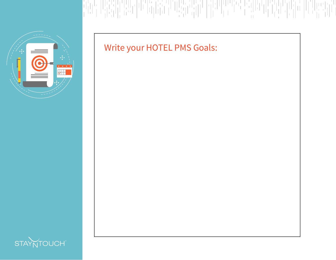

# Write your HOTEL PMS Goals:

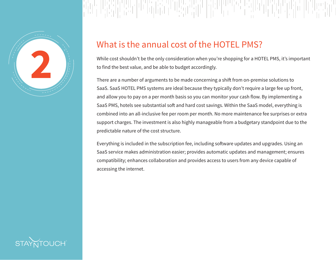

### What is the annual cost of the HOTEL PMS?

While cost shouldn't be the only consideration when you're shopping for a HOTEL PMS, it's important to find the best value, and be able to budget accordingly.

There are a number of arguments to be made concerning a shift from on-premise solutions to SaaS. SaaS HOTEL PMS systems are ideal because they typically don't require a large fee up front, and allow you to pay on a per month basis so you can monitor your cash flow. By implementing a SaaS PMS, hotels see substantial soft and hard cost savings. Within the SaaS model, everything is combined into an all-inclusive fee per room per month. No more maintenance fee surprises or extra support charges. The investment is also highly manageable from a budgetary standpoint due to the predictable nature of the cost structure.

Everything is included in the subscription fee, including software updates and upgrades. Using an SaaS service makes administration easier; provides automatic updates and management; ensures compatibility; enhances collaboration and provides access to users from any device capable of accessing the internet.

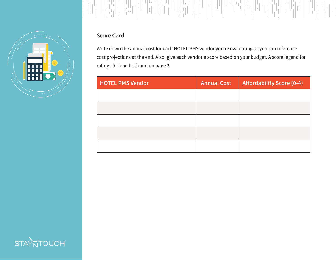

Write down the annual cost for each HOTEL PMS vendor you're evaluating so you can reference cost projections at the end. Also, give each vendor a score based on your budget. A score legend for ratings 0-4 can be found on page 2.

| <b>HOTEL PMS Vendor</b> | <b>Annual Cost</b> | <b>Affordability Score (0-4)</b> |
|-------------------------|--------------------|----------------------------------|
|                         |                    |                                  |
|                         |                    |                                  |
|                         |                    |                                  |
|                         |                    |                                  |
|                         |                    |                                  |

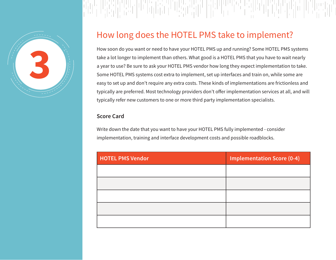

### 부리

### How long does the HOTEL PMS take to implement?

How soon do you want or need to have your HOTEL PMS up and running? Some HOTEL PMS systems take a lot longer to implement than others. What good is a HOTEL PMS that you have to wait nearly a year to use? Be sure to ask your HOTEL PMS vendor how long they expect implementation to take. Some HOTEL PMS systems cost extra to implement, set up interfaces and train on, while some are easy to set up and don't require any extra costs. These kinds of implementations are frictionless and typically are preferred. Most technology providers don't offer implementation services at all, and will typically refer new customers to one or more third party implementation specialists.

#### **Score Card**

Write down the date that you want to have your HOTEL PMS fully implemented - consider implementation, training and interface development costs and possible roadblocks.

| <b>HOTEL PMS Vendor</b> | <b>Implementation Score (0-4)</b> |
|-------------------------|-----------------------------------|
|                         |                                   |
|                         |                                   |
|                         |                                   |
|                         |                                   |
|                         |                                   |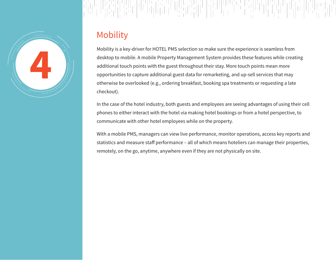

#### risi ya mwaka wa Marejeo ya Marejeo<br>Marejeo ya Marejeo ya Marejeo re sillit MANDA ANDA<br>Andala  $\left[\begin{array}{c} 1\\1\\1\\1\end{array}\right]$

# Mobility

Mobility is a key-driver for HOTEL PMS selection so make sure the experience is seamless from desktop to mobile. A mobile Property Management System provides these features while creating additional touch points with the guest throughout their stay. More touch points mean more opportunities to capture additional guest data for remarketing, and up-sell services that may otherwise be overlooked (e.g., ordering breakfast, booking spa treatments or requesting a late checkout).

In the case of the hotel industry, both guests and employees are seeing advantages of using their cell phones to either interact with the hotel via making hotel bookings or from a hotel perspective, to communicate with other hotel employees while on the property.

With a mobile PMS, managers can view live performance, monitor operations, access key reports and statistics and measure staff performance – all of which means hoteliers can manage their properties, remotely, on the go, anytime, anywhere even if they are not physically on site.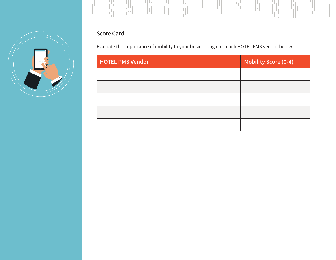



Evaluate the importance of mobility to your business against each HOTEL PMS vendor below.

| <b>HOTEL PMS Vendor</b> | <b>Mobility Score (0-4)</b> |
|-------------------------|-----------------------------|
|                         |                             |
|                         |                             |
|                         |                             |
|                         |                             |
|                         |                             |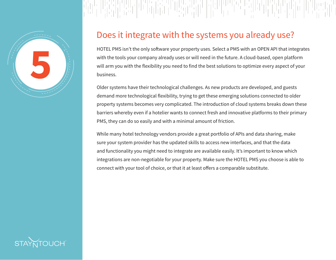

### Does it integrate with the systems you already use?

HOTEL PMS isn't the only software your property uses. Select a PMS with an OPEN API that integrates with the tools your company already uses or will need in the future. A cloud-based, open platform will arm you with the flexibility you need to find the best solutions to optimize every aspect of your business.

Older systems have their technological challenges. As new products are developed, and guests demand more technological flexibility, trying to get these emerging solutions connected to older property systems becomes very complicated. The introduction of cloud systems breaks down these barriers whereby even if a hotelier wants to connect fresh and innovative platforms to their primary PMS, they can do so easily and with a minimal amount of friction.

While many hotel technology vendors provide a great portfolio of APIs and data sharing, make sure your system provider has the updated skills to access new interfaces, and that the data and functionality you might need to integrate are available easily. It's important to know which integrations are non-negotiable for your property. Make sure the HOTEL PMS you choose is able to connect with your tool of choice, or that it at least offers a comparable substitute.

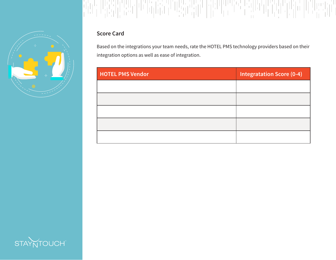



Based on the integrations your team needs, rate the HOTEL PMS technology providers based on their integration options as well as ease of integration.

| <b>HOTEL PMS Vendor</b> | <b>Integratation Score (0-4)</b> |
|-------------------------|----------------------------------|
|                         |                                  |
|                         |                                  |
|                         |                                  |
|                         |                                  |
|                         |                                  |

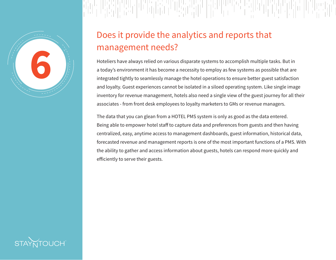

# Does it provide the analytics and reports that management needs?

Hoteliers have always relied on various disparate systems to accomplish multiple tasks. But in a today's environment it has become a necessity to employ as few systems as possible that are integrated tightly to seamlessly manage the hotel operations to ensure better guest satisfaction and loyalty. Guest experiences cannot be isolated in a siloed operating system. Like single image inventory for revenue management, hotels also need a single view of the guest journey for all their associates - from front desk employees to loyalty marketers to GMs or revenue managers.

The data that you can glean from a HOTEL PMS system is only as good as the data entered. Being able to empower hotel staff to capture data and preferences from guests and then having centralized, easy, anytime access to management dashboards, guest information, historical data, forecasted revenue and management reports is one of the most important functions of a PMS. With the ability to gather and access information about guests, hotels can respond more quickly and efficiently to serve their guests.

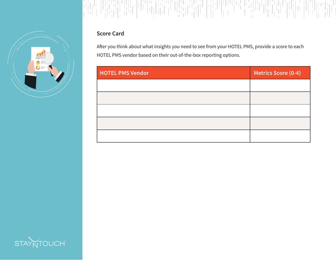



After you think about what insights you need to see from your HOTEL PMS, provide a score to each HOTEL PMS vendor based on their out-of-the-box reporting options.

| <b>HOTEL PMS Vendor</b> | <b>Metrics Score (0-4)</b> |
|-------------------------|----------------------------|
|                         |                            |
|                         |                            |
|                         |                            |
|                         |                            |
|                         |                            |

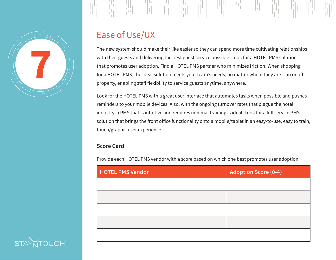

### MANDA AND

## Ease of Use/UX

The new system should make their like easier so they can spend more time cultivating relationships with their guests and delivering the best guest service possible. Look for a HOTEL PMS solution that promotes user adoption. Find a HOTEL PMS partner who minimizes friction. When shopping for a HOTEL PMS, the ideal solution meets your team's needs, no matter where they are – on or off property, enabling staff flexibility to service guests anytime, anywhere.

Look for the HOTEL PMS with a great user interface that automates tasks when possible and pushes reminders to your mobile devices. Also, with the ongoing turnover rates that plague the hotel industry, a PMS that is intuitive and requires minimal training is ideal. Look for a full service PMS solution that brings the front office functionality onto a mobile/tablet in an easy-to-use, easy to train, touch/graphic user experience.

### **Score Card**

Provide each HOTEL PMS vendor with a score based on which one best promotes user adoption.

| <b>HOTEL PMS Vendor</b> | <b>Adoption Score (0-4)</b> |
|-------------------------|-----------------------------|
|                         |                             |
|                         |                             |
|                         |                             |
|                         |                             |
|                         |                             |

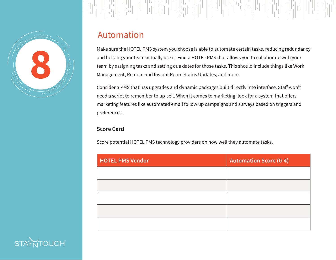

### Automation

Make sure the HOTEL PMS system you choose is able to automate certain tasks, reducing redundancy and helping your team actually use it. Find a HOTEL PMS that allows you to collaborate with your team by assigning tasks and setting due dates for those tasks. This should include things like Work Management, Remote and Instant Room Status Updates, and more.

Consider a PMS that has upgrades and dynamic packages built directly into interface. Staff won't need a script to remember to up-sell. When it comes to marketing, look for a system that offers marketing features like automated email follow up campaigns and surveys based on triggers and preferences.

#### **Score Card**

Score potential HOTEL PMS technology providers on how well they automate tasks.

| <b>HOTEL PMS Vendor</b> | <b>Automation Score (0-4)</b> |  |
|-------------------------|-------------------------------|--|
|                         |                               |  |
|                         |                               |  |
|                         |                               |  |
|                         |                               |  |
|                         |                               |  |

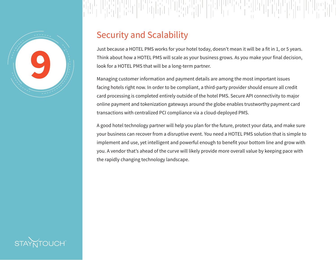

## Security and Scalability

Just because a HOTEL PMS works for your hotel today, doesn't mean it will be a fit in 1, or 5 years. Think about how a HOTEL PMS will scale as your business grows. As you make your final decision, look for a HOTEL PMS that will be a long-term partner.

Managing customer information and payment details are among the most important issues facing hotels right now. In order to be compliant, a third-party provider should ensure all credit card processing is completed entirely outside of the hotel PMS. Secure API connectivity to major online payment and tokenization gateways around the globe enables trustworthy payment card transactions with centralized PCI compliance via a cloud-deployed PMS.

A good hotel technology partner will help you plan for the future, protect your data, and make sure your business can recover from a disruptive event. You need a HOTEL PMS solution that is simple to implement and use, yet intelligent and powerful enough to benefit your bottom line and grow with you. A vendor that's ahead of the curve will likely provide more overall value by keeping pace with the rapidly changing technology landscape.

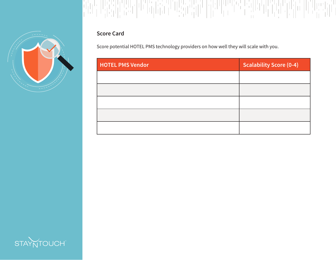



Score potential HOTEL PMS technology providers on how well they will scale with you.

| <b>HOTEL PMS Vendor</b> | <b>Scalability Score (0-4)</b> |
|-------------------------|--------------------------------|
|                         |                                |
|                         |                                |
|                         |                                |
|                         |                                |
|                         |                                |

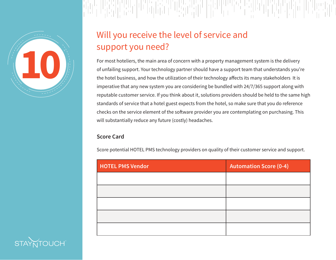

### MAN MA

# Will you receive the level of service and support you need?

For most hoteliers, the main area of concern with a property management system is the delivery of unfailing support. Your technology partner should have a support team that understands you're the hotel business, and how the utilization of their technology affects its many stakeholders It is imperative that any new system you are considering be bundled with 24/7/365 support along with reputable customer service. If you think about it, solutions providers should be held to the same high standards of service that a hotel guest expects from the hotel, so make sure that you do reference checks on the service element of the software provider you are contemplating on purchasing. This will substantially reduce any future (costly) headaches.

#### **Score Card**

Score potential HOTEL PMS technology providers on quality of their customer service and support.

| <b>HOTEL PMS Vendor</b> | <b>Automation Score (0-4)</b> |
|-------------------------|-------------------------------|
|                         |                               |
|                         |                               |
|                         |                               |
|                         |                               |
|                         |                               |